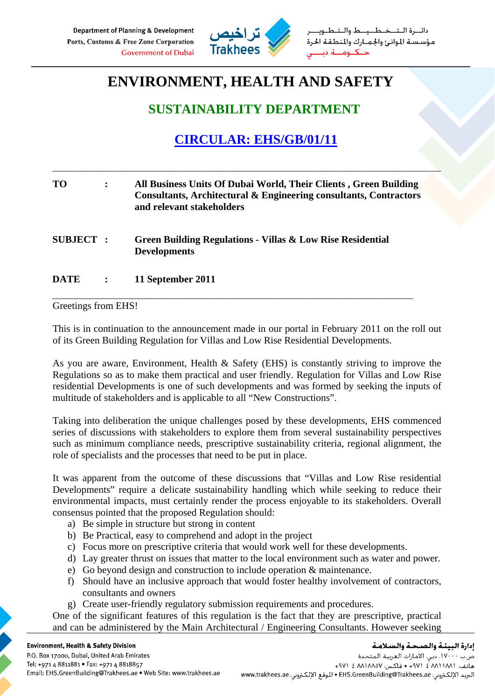

طــيـــط والــتـ مؤسستة الموانئ والجمارك والمنطقة الحرة حنكنوم

## **ENVIRONMENT, HEALTH AND SAFETY**

## **SUSTAINABILITY DEPARTMENT**

## **CIRCULAR: EHS/GB/01/11**

\_\_\_\_\_\_\_\_\_\_\_\_\_\_\_\_\_\_\_\_\_\_\_\_\_\_\_\_\_\_\_\_\_\_\_\_\_\_\_\_\_\_\_\_\_\_\_\_\_\_\_\_\_\_\_\_\_\_\_\_\_\_\_\_\_\_\_\_\_\_\_\_\_\_\_\_\_\_\_\_\_\_\_\_\_

| TO              | $\ddot{\cdot}$ | All Business Units Of Dubai World, Their Clients, Green Building<br>Consultants, Architectural & Engineering consultants, Contractors<br>and relevant stakeholders |
|-----------------|----------------|--------------------------------------------------------------------------------------------------------------------------------------------------------------------|
| <b>SUBJECT:</b> |                | Green Building Regulations - Villas & Low Rise Residential<br><b>Developments</b>                                                                                  |
| DATE            | $\ddot{\cdot}$ | 11 September 2011                                                                                                                                                  |

Greetings from EHS!

This is in continuation to the announcement made in our portal in February 2011 on the roll out of its Green Building Regulation for Villas and Low Rise Residential Developments.

As you are aware, Environment, Health & Safety (EHS) is constantly striving to improve the Regulations so as to make them practical and user friendly. Regulation for Villas and Low Rise residential Developments is one of such developments and was formed by seeking the inputs of multitude of stakeholders and is applicable to all "New Constructions".

Taking into deliberation the unique challenges posed by these developments, EHS commenced series of discussions with stakeholders to explore them from several sustainability perspectives such as minimum compliance needs, prescriptive sustainability criteria, regional alignment, the role of specialists and the processes that need to be put in place.

It was apparent from the outcome of these discussions that "Villas and Low Rise residential Developments" require a delicate sustainability handling which while seeking to reduce their environmental impacts, must certainly render the process enjoyable to its stakeholders. Overall consensus pointed that the proposed Regulation should:

- a) Be simple in structure but strong in content
- b) Be Practical, easy to comprehend and adopt in the project
- c) Focus more on prescriptive criteria that would work well for these developments.
- d) Lay greater thrust on issues that matter to the local environment such as water and power.
- e) Go beyond design and construction to include operation & maintenance.
- f) Should have an inclusive approach that would foster healthy involvement of contractors, consultants and owners
- g) Create user-friendly regulatory submission requirements and procedures.

One of the significant features of this regulation is the fact that they are prescriptive, practical and can be administered by the Main Architectural / Engineering Consultants. However seeking